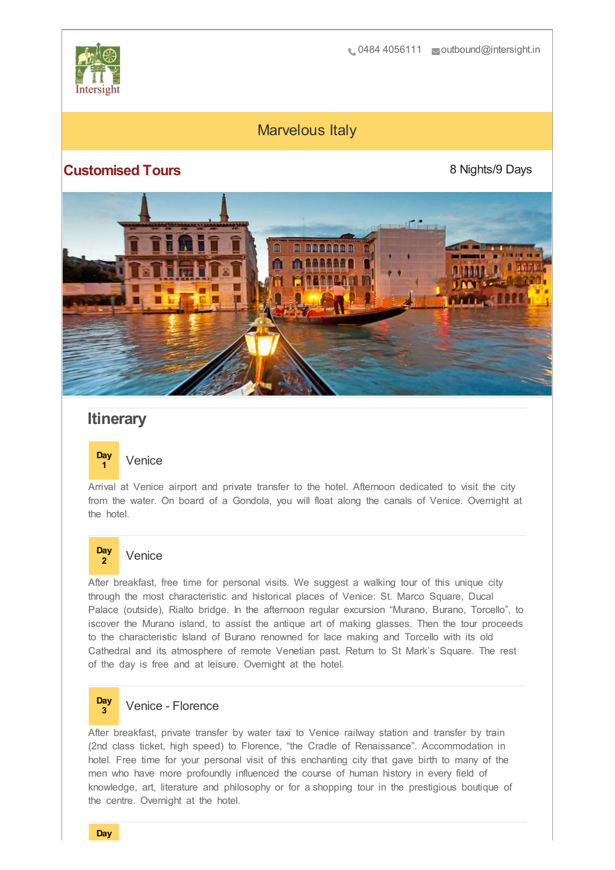

# Marvelous Italy

## **Customised Tours**

8 Nights/9 Days



# **Itinerary**

### **Day <sup>1</sup>** Venice

Arrival at Venice airport and private transfer to the hotel. Afternoon dedicated to visit the city from the water. On board of a Gondola, you will float along the canals of Venice. Overnight at the hotel.

### **Day <sup>2</sup>** Venice

After breakfast, free time for personal visits. We suggest a walking tour of this unique city through the most characteristic and historical places of Venice: St. Marco Square, Ducal Palace (outside), Rialto bridge. In the afternoon regular excursion "Murano, Burano, Torcello", to iscover the Murano island, to assist the antique art of making glasses. Then the tour proceeds to the characteristic Island of Burano renowned for lace making and Torcello with its old Cathedral and its atmosphere of remote Venetian past. Return to St Mark's Square. The rest of the day is free and at leisure. Overnight at the hotel.

### **Day <sup>3</sup>** Venice - Florence

After breakfast, private transfer by water taxi to Venice railway station and transfer by train (2nd class ticket, high speed) to Florence, "the Cradle of Renaissance". Accommodation in hotel. Free time for your personal visit of this enchanting city that gave birth to many of the men who have more profoundly influenced the course of human history in every field of knowledge, art, literature and philosophy or for a shopping tour in the prestigious boutique of the centre. Overnight at the hotel.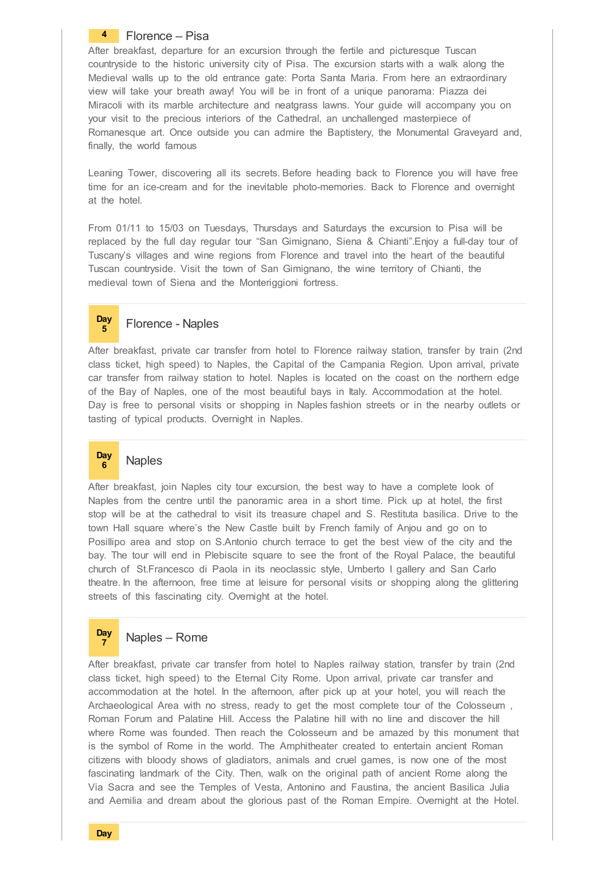### **4** Florence – Pisa

After breakfast, departure for an excursion through the fertile and picturesque Tuscan countryside to the historic university city of Pisa. The excursion starts with a walk along the Medieval walls up to the old entrance gate: Porta Santa Maria. From here an extraordinary view will take your breath away! You will be in front of a unique panorama: Piazza dei Miracoli with its marble architecture and neatgrass lawns. Your guide will accompany you on your visit to the precious interiors of the Cathedral, an unchallenged masterpiece of Romanesque art. Once outside you can admire the Baptistery, the Monumental Graveyard and, finally, the world famous

Leaning Tower, discovering all its secrets. Before heading back to Florence you will have free time for an ice-cream and for the inevitable photo-memories. Back to Florence and overnight at the hotel.

From 01/11 to 15/03 on Tuesdays, Thursdays and Saturdays the excursion to Pisa will be replaced by the full day regular tour "San Gimignano, Siena & Chianti".Enjoy a full-day tour of Tuscany's villages and wine regions from Florence and travel into the heart of the beautiful Tuscan countryside. Visit the town of San Gimignano, the wine territory of Chianti, the medieval town of Siena and the Monteriggioni fortress.

### **Day <sup>5</sup>** Florence - Naples

After breakfast, private car transfer from hotel to Florence railway station, transfer by train (2nd class ticket, high speed) to Naples, the Capital of the Campania Region. Upon arrival, private car transfer from railway station to hotel. Naples is located on the coast on the northern edge of the Bay of Naples, one of the most beautiful bays in Italy. Accommodation at the hotel. Day is free to personal visits or shopping in Naples fashion streets or in the nearby outlets or tasting of typical products. Overnight in Naples.

### **Day <sup>6</sup>** Naples

After breakfast, join Naples city tour excursion, the best way to have a complete look of Naples from the centre until the panoramic area in a short time. Pick up at hotel, the first stop will be at the cathedral to visit its treasure chapel and S. Restituta basilica. Drive to the town Hall square where's the New Castle built by French family of Anjou and go on to Posillipo area and stop on S.Antonio church terrace to get the best view of the city and the bay. The tour will end in Plebiscite square to see the front of the Royal Palace, the beautiful church of St.Francesco di Paola in its neoclassic style, Umberto I gallery and San Carlo theatre. In the afternoon, free time at leisure for personal visits or shopping along the glittering streets of this fascinating city. Overnight at the hotel.

### **Day <sup>7</sup>** Naples – Rome

After breakfast, private car transfer from hotel to Naples railway station, transfer by train (2nd class ticket, high speed) to the Eternal City Rome. Upon arrival, private car transfer and accommodation at the hotel. In the afternoon, after pick up at your hotel, you will reach the Archaeological Area with no stress, ready to get the most complete tour of the Colosseum , Roman Forum and Palatine Hill. Access the Palatine hill with no line and discover the hill where Rome was founded. Then reach the Colosseum and be amazed by this monument that is the symbol of Rome in the world. The Amphitheater created to entertain ancient Roman citizens with bloody shows of gladiators, animals and cruel games, is now one of the most fascinating landmark of the City. Then, walk on the original path of ancient Rome along the Via Sacra and see the Temples of Vesta, Antonino and Faustina, the ancient Basilica Julia and Aemilia and dream about the glorious past of the Roman Empire. Overnight at the Hotel.